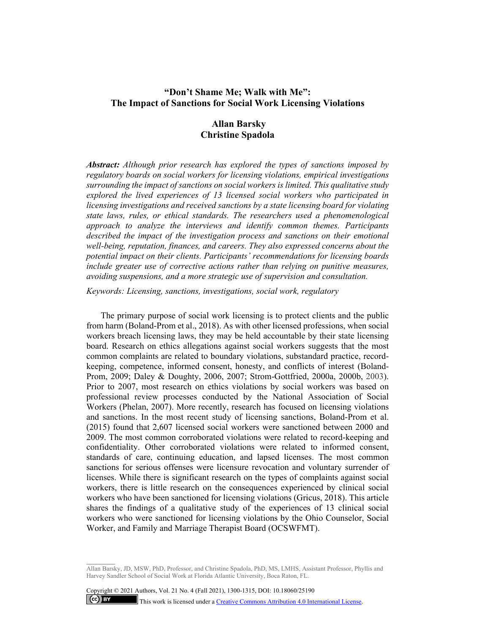# **"Don't Shame Me; Walk with Me": The Impact of Sanctions for Social Work Licensing Violations**

# **Allan Barsky Christine Spadola**

*Abstract: Although prior research has explored the types of sanctions imposed by regulatory boards on social workers for licensing violations, empirical investigations surrounding the impact of sanctions on social workers is limited. This qualitative study explored the lived experiences of 13 licensed social workers who participated in licensing investigations and received sanctions by a state licensing board for violating state laws, rules, or ethical standards. The researchers used a phenomenological approach to analyze the interviews and identify common themes. Participants described the impact of the investigation process and sanctions on their emotional well-being, reputation, finances, and careers. They also expressed concerns about the potential impact on their clients. Participants' recommendations for licensing boards include greater use of corrective actions rather than relying on punitive measures, avoiding suspensions, and a more strategic use of supervision and consultation.* 

*Keywords: Licensing, sanctions, investigations, social work, regulatory*

The primary purpose of social work licensing is to protect clients and the public from harm (Boland-Prom et al., 2018). As with other licensed professions, when social workers breach licensing laws, they may be held accountable by their state licensing board. Research on ethics allegations against social workers suggests that the most common complaints are related to boundary violations, substandard practice, recordkeeping, competence, informed consent, honesty, and conflicts of interest (Boland-Prom, 2009; Daley & Doughty, 2006, 2007; Strom-Gottfried, 2000a, 2000b, 2003). Prior to 2007, most research on ethics violations by social workers was based on professional review processes conducted by the National Association of Social Workers (Phelan, 2007). More recently, research has focused on licensing violations and sanctions. In the most recent study of licensing sanctions, Boland-Prom et al. (2015) found that 2,607 licensed social workers were sanctioned between 2000 and 2009. The most common corroborated violations were related to record-keeping and confidentiality. Other corroborated violations were related to informed consent, standards of care, continuing education, and lapsed licenses. The most common sanctions for serious offenses were licensure revocation and voluntary surrender of licenses. While there is significant research on the types of complaints against social workers, there is little research on the consequences experienced by clinical social workers who have been sanctioned for licensing violations (Gricus, 2018). This article shares the findings of a qualitative study of the experiences of 13 clinical social workers who were sanctioned for licensing violations by the Ohio Counselor, Social Worker, and Family and Marriage Therapist Board (OCSWFMT).

Allan Barsky, JD, MSW, PhD, Professor, and Christine Spadola, PhD, MS, LMHS, Assistant Professor, Phyllis and Harvey Sandler School of Social Work at Florida Atlantic University, Boca Raton, FL.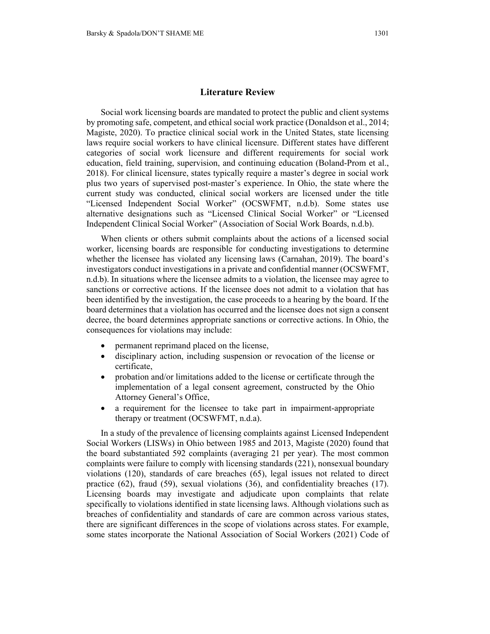#### **Literature Review**

Social work licensing boards are mandated to protect the public and client systems by promoting safe, competent, and ethical social work practice (Donaldson et al., 2014; Magiste, 2020). To practice clinical social work in the United States, state licensing laws require social workers to have clinical licensure. Different states have different categories of social work licensure and different requirements for social work education, field training, supervision, and continuing education (Boland-Prom et al., 2018). For clinical licensure, states typically require a master's degree in social work plus two years of supervised post-master's experience. In Ohio, the state where the current study was conducted, clinical social workers are licensed under the title "Licensed Independent Social Worker" (OCSWFMT, n.d.b). Some states use alternative designations such as "Licensed Clinical Social Worker" or "Licensed Independent Clinical Social Worker" (Association of Social Work Boards, n.d.b).

When clients or others submit complaints about the actions of a licensed social worker, licensing boards are responsible for conducting investigations to determine whether the licensee has violated any licensing laws (Carnahan, 2019). The board's investigators conduct investigations in a private and confidential manner (OCSWFMT, n.d.b). In situations where the licensee admits to a violation, the licensee may agree to sanctions or corrective actions. If the licensee does not admit to a violation that has been identified by the investigation, the case proceeds to a hearing by the board. If the board determines that a violation has occurred and the licensee does not sign a consent decree, the board determines appropriate sanctions or corrective actions. In Ohio, the consequences for violations may include:

- permanent reprimand placed on the license,
- disciplinary action, including suspension or revocation of the license or certificate,
- probation and/or limitations added to the license or certificate through the implementation of a legal consent agreement, constructed by the Ohio Attorney General's Office,
- a requirement for the licensee to take part in impairment-appropriate therapy or treatment (OCSWFMT, n.d.a).

In a study of the prevalence of licensing complaints against Licensed Independent Social Workers (LISWs) in Ohio between 1985 and 2013, Magiste (2020) found that the board substantiated 592 complaints (averaging 21 per year). The most common complaints were failure to comply with licensing standards (221), nonsexual boundary violations (120), standards of care breaches (65), legal issues not related to direct practice (62), fraud (59), sexual violations (36), and confidentiality breaches (17). Licensing boards may investigate and adjudicate upon complaints that relate specifically to violations identified in state licensing laws. Although violations such as breaches of confidentiality and standards of care are common across various states, there are significant differences in the scope of violations across states. For example, some states incorporate the National Association of Social Workers (2021) Code of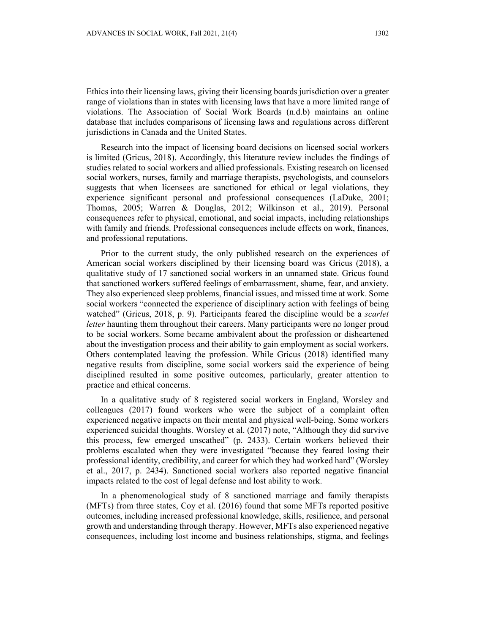Ethics into their licensing laws, giving their licensing boards jurisdiction over a greater range of violations than in states with licensing laws that have a more limited range of violations. The Association of Social Work Boards (n.d.b) maintains an online database that includes comparisons of licensing laws and regulations across different jurisdictions in Canada and the United States.

Research into the impact of licensing board decisions on licensed social workers is limited (Gricus, 2018). Accordingly, this literature review includes the findings of studies related to social workers and allied professionals. Existing research on licensed social workers, nurses, family and marriage therapists, psychologists, and counselors suggests that when licensees are sanctioned for ethical or legal violations, they experience significant personal and professional consequences (LaDuke, 2001; Thomas, 2005; Warren & Douglas, 2012; Wilkinson et al., 2019). Personal consequences refer to physical, emotional, and social impacts, including relationships with family and friends. Professional consequences include effects on work, finances, and professional reputations.

Prior to the current study, the only published research on the experiences of American social workers disciplined by their licensing board was Gricus (2018), a qualitative study of 17 sanctioned social workers in an unnamed state. Gricus found that sanctioned workers suffered feelings of embarrassment, shame, fear, and anxiety. They also experienced sleep problems, financial issues, and missed time at work. Some social workers "connected the experience of disciplinary action with feelings of being watched" (Gricus, 2018, p. 9). Participants feared the discipline would be a *scarlet letter* haunting them throughout their careers. Many participants were no longer proud to be social workers. Some became ambivalent about the profession or disheartened about the investigation process and their ability to gain employment as social workers. Others contemplated leaving the profession. While Gricus (2018) identified many negative results from discipline, some social workers said the experience of being disciplined resulted in some positive outcomes, particularly, greater attention to practice and ethical concerns.

In a qualitative study of 8 registered social workers in England, Worsley and colleagues (2017) found workers who were the subject of a complaint often experienced negative impacts on their mental and physical well-being. Some workers experienced suicidal thoughts. Worsley et al. (2017) note, "Although they did survive this process, few emerged unscathed" (p. 2433). Certain workers believed their problems escalated when they were investigated "because they feared losing their professional identity, credibility, and career for which they had worked hard" (Worsley et al., 2017, p. 2434). Sanctioned social workers also reported negative financial impacts related to the cost of legal defense and lost ability to work.

In a phenomenological study of 8 sanctioned marriage and family therapists (MFTs) from three states, Coy et al. (2016) found that some MFTs reported positive outcomes, including increased professional knowledge, skills, resilience, and personal growth and understanding through therapy. However, MFTs also experienced negative consequences, including lost income and business relationships, stigma, and feelings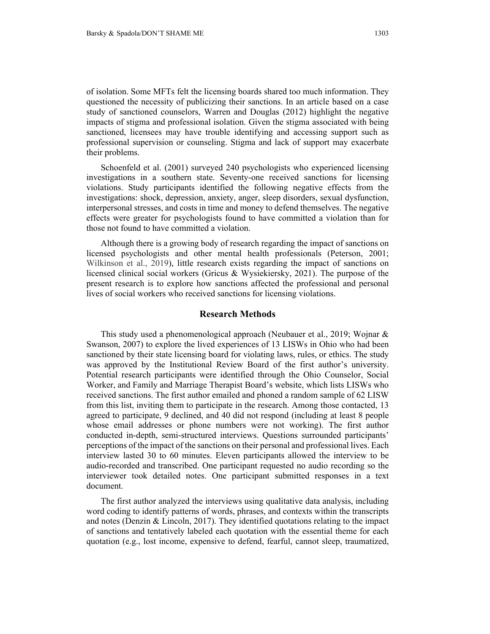of isolation. Some MFTs felt the licensing boards shared too much information. They questioned the necessity of publicizing their sanctions. In an article based on a case study of sanctioned counselors, Warren and Douglas (2012) highlight the negative impacts of stigma and professional isolation. Given the stigma associated with being sanctioned, licensees may have trouble identifying and accessing support such as professional supervision or counseling. Stigma and lack of support may exacerbate their problems.

Schoenfeld et al. (2001) surveyed 240 psychologists who experienced licensing investigations in a southern state. Seventy-one received sanctions for licensing violations. Study participants identified the following negative effects from the investigations: shock, depression, anxiety, anger, sleep disorders, sexual dysfunction, interpersonal stresses, and costs in time and money to defend themselves. The negative effects were greater for psychologists found to have committed a violation than for those not found to have committed a violation.

Although there is a growing body of research regarding the impact of sanctions on licensed psychologists and other mental health professionals (Peterson, 2001; Wilkinson et al., 2019), little research exists regarding the impact of sanctions on licensed clinical social workers (Gricus & Wysiekiersky, 2021). The purpose of the present research is to explore how sanctions affected the professional and personal lives of social workers who received sanctions for licensing violations.

#### **Research Methods**

This study used a phenomenological approach (Neubauer et al., 2019; Wojnar & Swanson, 2007) to explore the lived experiences of 13 LISWs in Ohio who had been sanctioned by their state licensing board for violating laws, rules, or ethics. The study was approved by the Institutional Review Board of the first author's university. Potential research participants were identified through the Ohio Counselor, Social Worker, and Family and Marriage Therapist Board's website, which lists LISWs who received sanctions. The first author emailed and phoned a random sample of 62 LISW from this list, inviting them to participate in the research. Among those contacted, 13 agreed to participate, 9 declined, and 40 did not respond (including at least 8 people whose email addresses or phone numbers were not working). The first author conducted in-depth, semi-structured interviews. Questions surrounded participants' perceptions of the impact of the sanctions on their personal and professional lives. Each interview lasted 30 to 60 minutes. Eleven participants allowed the interview to be audio-recorded and transcribed. One participant requested no audio recording so the interviewer took detailed notes. One participant submitted responses in a text document.

The first author analyzed the interviews using qualitative data analysis, including word coding to identify patterns of words, phrases, and contexts within the transcripts and notes (Denzin & Lincoln, 2017). They identified quotations relating to the impact of sanctions and tentatively labeled each quotation with the essential theme for each quotation (e.g., lost income, expensive to defend, fearful, cannot sleep, traumatized,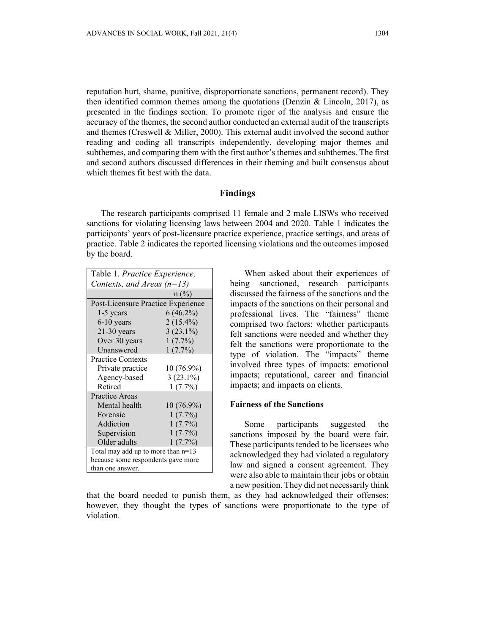reputation hurt, shame, punitive, disproportionate sanctions, permanent record). They then identified common themes among the quotations (Denzin  $\&$  Lincoln, 2017), as presented in the findings section. To promote rigor of the analysis and ensure the accuracy of the themes, the second author conducted an external audit of the transcripts and themes (Creswell & Miller, 2000). This external audit involved the second author reading and coding all transcripts independently, developing major themes and subthemes, and comparing them with the first author's themes and subthemes. The first and second authors discussed differences in their theming and built consensus about which themes fit best with the data.

## **Findings**

The research participants comprised 11 female and 2 male LISWs who received sanctions for violating licensing laws between 2004 and 2020. Table 1 indicates the participants' years of post-licensure practice experience, practice settings, and areas of practice. Table 2 indicates the reported licensing violations and the outcomes imposed by the board.

| Table 1. Practice Experience,        |              |  |
|--------------------------------------|--------------|--|
| Contexts, and Areas $(n=13)$         |              |  |
|                                      | $n\ (\%)$    |  |
| Post-Licensure Practice Experience   |              |  |
| $1-5$ years                          | $6(46.2\%)$  |  |
| $6-10$ years                         | $2(15.4\%)$  |  |
| $21-30$ years                        | $3(23.1\%)$  |  |
| Over 30 years                        | $1(7.7\%)$   |  |
| Unanswered                           | $1(7.7\%)$   |  |
| <b>Practice Contexts</b>             |              |  |
| Private practice                     | 10 (76.9%)   |  |
| Agency-based                         | $3(23.1\%)$  |  |
| Retired                              | $1(7.7\%)$   |  |
| <b>Practice Areas</b>                |              |  |
| Mental health                        | $10(76.9\%)$ |  |
| Forensic                             | $1(7.7\%)$   |  |
| Addiction                            | $1(7.7\%)$   |  |
| Supervision                          | $1(7.7\%)$   |  |
| Older adults                         | $1(7.7\%)$   |  |
| Total may add up to more than $n=13$ |              |  |
| because some respondents gave more   |              |  |
| than one answer.                     |              |  |

When asked about their experiences of being sanctioned, research participants discussed the fairness of the sanctions and the impacts of the sanctions on their personal and professional lives. The "fairness" theme comprised two factors: whether participants felt sanctions were needed and whether they felt the sanctions were proportionate to the type of violation. The "impacts" theme involved three types of impacts: emotional impacts; reputational, career and financial impacts; and impacts on clients.

### **Fairness of the Sanctions**

Some participants suggested the sanctions imposed by the board were fair. These participants tended to be licensees who acknowledged they had violated a regulatory law and signed a consent agreement. They were also able to maintain their jobs or obtain a new position. They did not necessarily think

that the board needed to punish them, as they had acknowledged their offenses; however, they thought the types of sanctions were proportionate to the type of violation.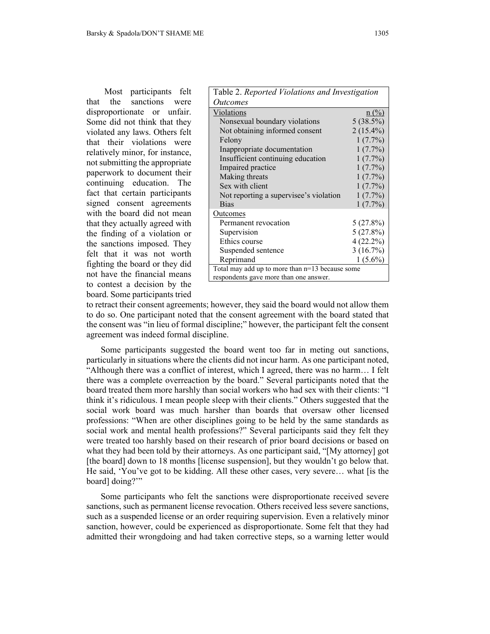Most participants felt that the sanctions were disproportionate or unfair. Some did not think that they violated any laws. Others felt that their violations were relatively minor, for instance, not submitting the appropriate paperwork to document their continuing education. The fact that certain participants signed consent agreements with the board did not mean that they actually agreed with the finding of a violation or the sanctions imposed. They felt that it was not worth fighting the board or they did not have the financial means to contest a decision by the board. Some participants tried

| Table 2. Reported Violations and Investigation  |                |  |
|-------------------------------------------------|----------------|--|
| <i>Outcomes</i>                                 |                |  |
| Violations                                      | $n(^{0}/_{0})$ |  |
| Nonsexual boundary violations                   | $5(38.5\%)$    |  |
| Not obtaining informed consent                  | $2(15.4\%)$    |  |
| Felony                                          | $1(7.7\%)$     |  |
| Inappropriate documentation                     | $1(7.7\%)$     |  |
| Insufficient continuing education               | $1(7.7\%)$     |  |
| Impaired practice                               | $1(7.7\%)$     |  |
| Making threats                                  | $1(7.7\%)$     |  |
| Sex with client                                 | $1(7.7\%)$     |  |
| Not reporting a supervisee's violation          | $1(7.7\%)$     |  |
| <b>Bias</b>                                     | $1(7.7\%)$     |  |
| Outcomes                                        |                |  |
| Permanent revocation                            | $5(27.8\%)$    |  |
| Supervision                                     | 5(27.8%)       |  |
| Ethics course                                   | $4(22.2\%)$    |  |
| Suspended sentence                              | 3(16.7%)       |  |
| Reprimand                                       | $1(5.6\%)$     |  |
| Total may add up to more than n=13 because some |                |  |
| respondents gave more than one answer.          |                |  |

to retract their consent agreements; however, they said the board would not allow them to do so. One participant noted that the consent agreement with the board stated that the consent was "in lieu of formal discipline;" however, the participant felt the consent agreement was indeed formal discipline.

Some participants suggested the board went too far in meting out sanctions, particularly in situations where the clients did not incur harm. As one participant noted, "Although there was a conflict of interest, which I agreed, there was no harm… I felt there was a complete overreaction by the board." Several participants noted that the board treated them more harshly than social workers who had sex with their clients: "I think it's ridiculous. I mean people sleep with their clients." Others suggested that the social work board was much harsher than boards that oversaw other licensed professions: "When are other disciplines going to be held by the same standards as social work and mental health professions?" Several participants said they felt they were treated too harshly based on their research of prior board decisions or based on what they had been told by their attorneys. As one participant said, "[My attorney] got [the board] down to 18 months [license suspension], but they wouldn't go below that. He said, 'You've got to be kidding. All these other cases, very severe… what [is the board] doing?"

Some participants who felt the sanctions were disproportionate received severe sanctions, such as permanent license revocation. Others received less severe sanctions, such as a suspended license or an order requiring supervision. Even a relatively minor sanction, however, could be experienced as disproportionate. Some felt that they had admitted their wrongdoing and had taken corrective steps, so a warning letter would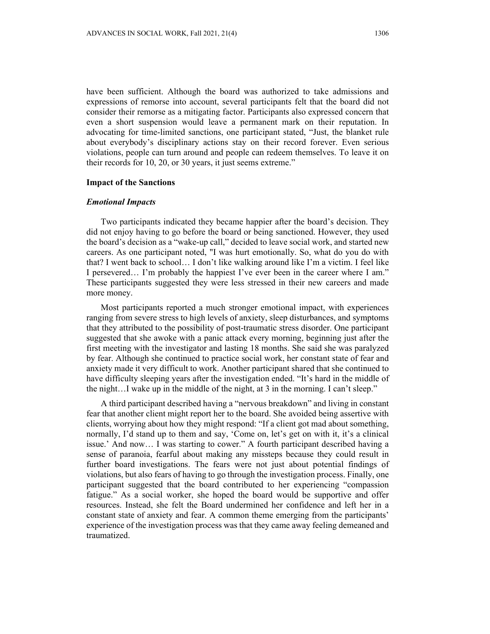have been sufficient. Although the board was authorized to take admissions and expressions of remorse into account, several participants felt that the board did not consider their remorse as a mitigating factor. Participants also expressed concern that even a short suspension would leave a permanent mark on their reputation. In advocating for time-limited sanctions, one participant stated, "Just, the blanket rule about everybody's disciplinary actions stay on their record forever. Even serious violations, people can turn around and people can redeem themselves. To leave it on their records for 10, 20, or 30 years, it just seems extreme."

#### **Impact of the Sanctions**

#### *Emotional Impacts*

Two participants indicated they became happier after the board's decision. They did not enjoy having to go before the board or being sanctioned. However, they used the board's decision as a "wake-up call," decided to leave social work, and started new careers. As one participant noted, "I was hurt emotionally. So, what do you do with that? I went back to school… I don't like walking around like I'm a victim. I feel like I persevered… I'm probably the happiest I've ever been in the career where I am." These participants suggested they were less stressed in their new careers and made more money.

Most participants reported a much stronger emotional impact, with experiences ranging from severe stress to high levels of anxiety, sleep disturbances, and symptoms that they attributed to the possibility of post-traumatic stress disorder. One participant suggested that she awoke with a panic attack every morning, beginning just after the first meeting with the investigator and lasting 18 months. She said she was paralyzed by fear. Although she continued to practice social work, her constant state of fear and anxiety made it very difficult to work. Another participant shared that she continued to have difficulty sleeping years after the investigation ended. "It's hard in the middle of the night…I wake up in the middle of the night, at 3 in the morning. I can't sleep."

A third participant described having a "nervous breakdown" and living in constant fear that another client might report her to the board. She avoided being assertive with clients, worrying about how they might respond: "If a client got mad about something, normally, I'd stand up to them and say, 'Come on, let's get on with it, it's a clinical issue.' And now… I was starting to cower." A fourth participant described having a sense of paranoia, fearful about making any missteps because they could result in further board investigations. The fears were not just about potential findings of violations, but also fears of having to go through the investigation process. Finally, one participant suggested that the board contributed to her experiencing "compassion fatigue." As a social worker, she hoped the board would be supportive and offer resources. Instead, she felt the Board undermined her confidence and left her in a constant state of anxiety and fear. A common theme emerging from the participants' experience of the investigation process was that they came away feeling demeaned and traumatized.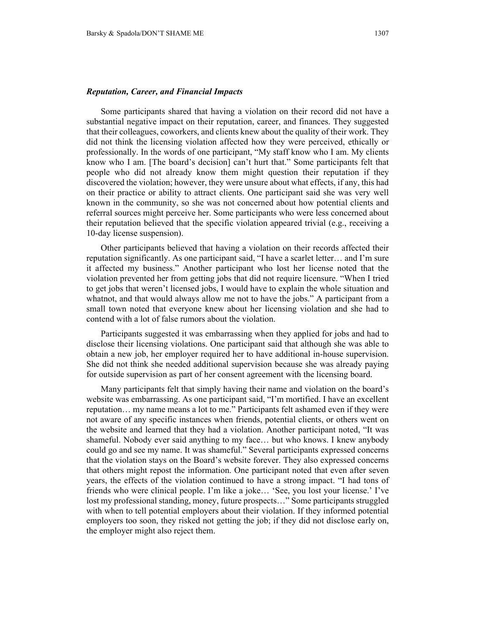### *Reputation, Career, and Financial Impacts*

Some participants shared that having a violation on their record did not have a substantial negative impact on their reputation, career, and finances. They suggested that their colleagues, coworkers, and clients knew about the quality of their work. They did not think the licensing violation affected how they were perceived, ethically or professionally. In the words of one participant, "My staff know who I am. My clients know who I am. [The board's decision] can't hurt that." Some participants felt that people who did not already know them might question their reputation if they discovered the violation; however, they were unsure about what effects, if any, this had on their practice or ability to attract clients. One participant said she was very well known in the community, so she was not concerned about how potential clients and referral sources might perceive her. Some participants who were less concerned about their reputation believed that the specific violation appeared trivial (e.g., receiving a 10-day license suspension).

Other participants believed that having a violation on their records affected their reputation significantly. As one participant said, "I have a scarlet letter… and I'm sure it affected my business." Another participant who lost her license noted that the violation prevented her from getting jobs that did not require licensure. "When I tried to get jobs that weren't licensed jobs, I would have to explain the whole situation and whatnot, and that would always allow me not to have the jobs." A participant from a small town noted that everyone knew about her licensing violation and she had to contend with a lot of false rumors about the violation.

Participants suggested it was embarrassing when they applied for jobs and had to disclose their licensing violations. One participant said that although she was able to obtain a new job, her employer required her to have additional in-house supervision. She did not think she needed additional supervision because she was already paying for outside supervision as part of her consent agreement with the licensing board.

Many participants felt that simply having their name and violation on the board's website was embarrassing. As one participant said, "I'm mortified. I have an excellent reputation… my name means a lot to me." Participants felt ashamed even if they were not aware of any specific instances when friends, potential clients, or others went on the website and learned that they had a violation. Another participant noted, "It was shameful. Nobody ever said anything to my face… but who knows. I knew anybody could go and see my name. It was shameful." Several participants expressed concerns that the violation stays on the Board's website forever. They also expressed concerns that others might repost the information. One participant noted that even after seven years, the effects of the violation continued to have a strong impact. "I had tons of friends who were clinical people. I'm like a joke… 'See, you lost your license.' I've lost my professional standing, money, future prospects…" Some participants struggled with when to tell potential employers about their violation. If they informed potential employers too soon, they risked not getting the job; if they did not disclose early on, the employer might also reject them.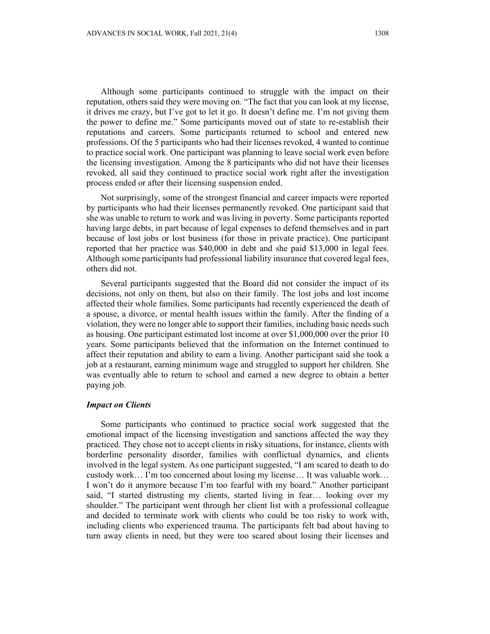Although some participants continued to struggle with the impact on their reputation, others said they were moving on. "The fact that you can look at my license, it drives me crazy, but I've got to let it go. It doesn't define me. I'm not giving them the power to define me." Some participants moved out of state to re-establish their reputations and careers. Some participants returned to school and entered new professions. Of the 5 participants who had their licenses revoked, 4 wanted to continue to practice social work. One participant was planning to leave social work even before the licensing investigation. Among the 8 participants who did not have their licenses revoked, all said they continued to practice social work right after the investigation process ended or after their licensing suspension ended.

Not surprisingly, some of the strongest financial and career impacts were reported by participants who had their licenses permanently revoked. One participant said that she was unable to return to work and was living in poverty. Some participants reported having large debts, in part because of legal expenses to defend themselves and in part because of lost jobs or lost business (for those in private practice). One participant reported that her practice was \$40,000 in debt and she paid \$13,000 in legal fees. Although some participants had professional liability insurance that covered legal fees, others did not.

Several participants suggested that the Board did not consider the impact of its decisions, not only on them, but also on their family. The lost jobs and lost income affected their whole families. Some participants had recently experienced the death of a spouse, a divorce, or mental health issues within the family. After the finding of a violation, they were no longer able to support their families, including basic needs such as housing. One participant estimated lost income at over \$1,000,000 over the prior 10 years. Some participants believed that the information on the Internet continued to affect their reputation and ability to earn a living. Another participant said she took a job at a restaurant, earning minimum wage and struggled to support her children. She was eventually able to return to school and earned a new degree to obtain a better paying job.

#### *Impact on Clients*

Some participants who continued to practice social work suggested that the emotional impact of the licensing investigation and sanctions affected the way they practiced. They chose not to accept clients in risky situations, for instance, clients with borderline personality disorder, families with conflictual dynamics, and clients involved in the legal system. As one participant suggested, "I am scared to death to do custody work… I'm too concerned about losing my license… It was valuable work… I won't do it anymore because I'm too fearful with my board." Another participant said, "I started distrusting my clients, started living in fear… looking over my shoulder." The participant went through her client list with a professional colleague and decided to terminate work with clients who could be too risky to work with, including clients who experienced trauma. The participants felt bad about having to turn away clients in need, but they were too scared about losing their licenses and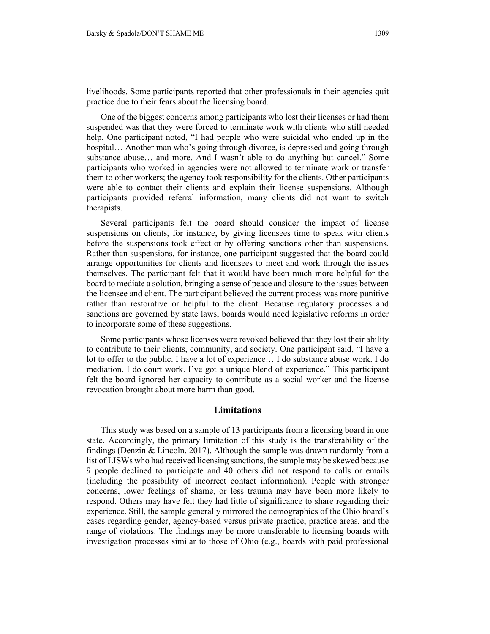livelihoods. Some participants reported that other professionals in their agencies quit practice due to their fears about the licensing board.

One of the biggest concerns among participants who lost their licenses or had them suspended was that they were forced to terminate work with clients who still needed help. One participant noted, "I had people who were suicidal who ended up in the hospital... Another man who's going through divorce, is depressed and going through substance abuse… and more. And I wasn't able to do anything but cancel." Some participants who worked in agencies were not allowed to terminate work or transfer them to other workers; the agency took responsibility for the clients. Other participants were able to contact their clients and explain their license suspensions. Although participants provided referral information, many clients did not want to switch therapists.

Several participants felt the board should consider the impact of license suspensions on clients, for instance, by giving licensees time to speak with clients before the suspensions took effect or by offering sanctions other than suspensions. Rather than suspensions, for instance, one participant suggested that the board could arrange opportunities for clients and licensees to meet and work through the issues themselves. The participant felt that it would have been much more helpful for the board to mediate a solution, bringing a sense of peace and closure to the issues between the licensee and client. The participant believed the current process was more punitive rather than restorative or helpful to the client. Because regulatory processes and sanctions are governed by state laws, boards would need legislative reforms in order to incorporate some of these suggestions.

Some participants whose licenses were revoked believed that they lost their ability to contribute to their clients, community, and society. One participant said, "I have a lot to offer to the public. I have a lot of experience… I do substance abuse work. I do mediation. I do court work. I've got a unique blend of experience." This participant felt the board ignored her capacity to contribute as a social worker and the license revocation brought about more harm than good.

## **Limitations**

This study was based on a sample of 13 participants from a licensing board in one state. Accordingly, the primary limitation of this study is the transferability of the findings (Denzin & Lincoln, 2017). Although the sample was drawn randomly from a list of LISWs who had received licensing sanctions, the sample may be skewed because 9 people declined to participate and 40 others did not respond to calls or emails (including the possibility of incorrect contact information). People with stronger concerns, lower feelings of shame, or less trauma may have been more likely to respond. Others may have felt they had little of significance to share regarding their experience. Still, the sample generally mirrored the demographics of the Ohio board's cases regarding gender, agency-based versus private practice, practice areas, and the range of violations. The findings may be more transferable to licensing boards with investigation processes similar to those of Ohio (e.g., boards with paid professional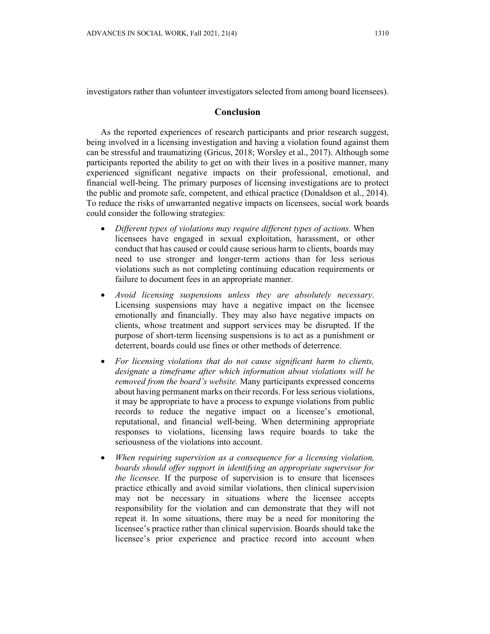investigators rather than volunteer investigators selected from among board licensees).

### **Conclusion**

As the reported experiences of research participants and prior research suggest, being involved in a licensing investigation and having a violation found against them can be stressful and traumatizing (Gricus, 2018; Worsley et al., 2017). Although some participants reported the ability to get on with their lives in a positive manner, many experienced significant negative impacts on their professional, emotional, and financial well-being. The primary purposes of licensing investigations are to protect the public and promote safe, competent, and ethical practice (Donaldson et al., 2014). To reduce the risks of unwarranted negative impacts on licensees, social work boards could consider the following strategies:

- *Different types of violations may require different types of actions.* When licensees have engaged in sexual exploitation, harassment, or other conduct that has caused or could cause serious harm to clients, boards may need to use stronger and longer-term actions than for less serious violations such as not completing continuing education requirements or failure to document fees in an appropriate manner.
- *Avoid licensing suspensions unless they are absolutely necessary*. Licensing suspensions may have a negative impact on the licensee emotionally and financially. They may also have negative impacts on clients, whose treatment and support services may be disrupted. If the purpose of short-term licensing suspensions is to act as a punishment or deterrent, boards could use fines or other methods of deterrence.
- *For licensing violations that do not cause significant harm to clients, designate a timeframe after which information about violations will be removed from the board's website.* Many participants expressed concerns about having permanent marks on their records. For less serious violations, it may be appropriate to have a process to expunge violations from public records to reduce the negative impact on a licensee's emotional, reputational, and financial well-being. When determining appropriate responses to violations, licensing laws require boards to take the seriousness of the violations into account.
- *When requiring supervision as a consequence for a licensing violation, boards should offer support in identifying an appropriate supervisor for the licensee.* If the purpose of supervision is to ensure that licensees practice ethically and avoid similar violations, then clinical supervision may not be necessary in situations where the licensee accepts responsibility for the violation and can demonstrate that they will not repeat it. In some situations, there may be a need for monitoring the licensee's practice rather than clinical supervision. Boards should take the licensee's prior experience and practice record into account when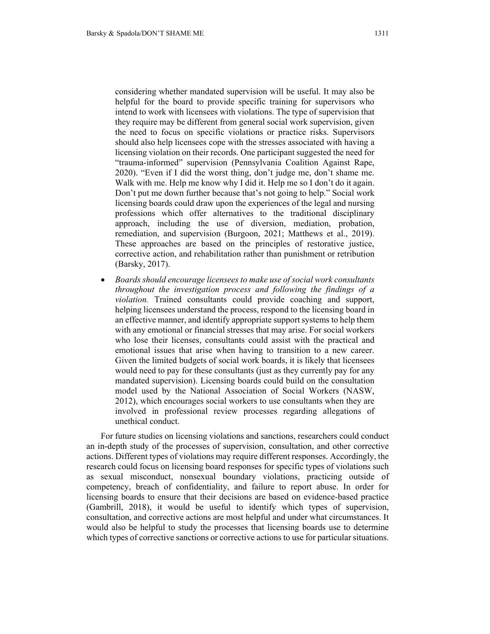considering whether mandated supervision will be useful. It may also be helpful for the board to provide specific training for supervisors who intend to work with licensees with violations. The type of supervision that they require may be different from general social work supervision, given the need to focus on specific violations or practice risks. Supervisors should also help licensees cope with the stresses associated with having a licensing violation on their records. One participant suggested the need for "trauma-informed" supervision (Pennsylvania Coalition Against Rape, 2020). "Even if I did the worst thing, don't judge me, don't shame me. Walk with me. Help me know why I did it. Help me so I don't do it again. Don't put me down further because that's not going to help." Social work licensing boards could draw upon the experiences of the legal and nursing professions which offer alternatives to the traditional disciplinary approach, including the use of diversion, mediation, probation, remediation, and supervision (Burgoon, 2021; Matthews et al., 2019). These approaches are based on the principles of restorative justice, corrective action, and rehabilitation rather than punishment or retribution (Barsky, 2017).

 *Boards should encourage licensees to make use of social work consultants throughout the investigation process and following the findings of a violation.* Trained consultants could provide coaching and support, helping licensees understand the process, respond to the licensing board in an effective manner, and identify appropriate support systems to help them with any emotional or financial stresses that may arise. For social workers who lose their licenses, consultants could assist with the practical and emotional issues that arise when having to transition to a new career. Given the limited budgets of social work boards, it is likely that licensees would need to pay for these consultants (just as they currently pay for any mandated supervision). Licensing boards could build on the consultation model used by the National Association of Social Workers (NASW, 2012), which encourages social workers to use consultants when they are involved in professional review processes regarding allegations of unethical conduct.

For future studies on licensing violations and sanctions, researchers could conduct an in-depth study of the processes of supervision, consultation, and other corrective actions. Different types of violations may require different responses. Accordingly, the research could focus on licensing board responses for specific types of violations such as sexual misconduct, nonsexual boundary violations, practicing outside of competency, breach of confidentiality, and failure to report abuse. In order for licensing boards to ensure that their decisions are based on evidence-based practice (Gambrill, 2018), it would be useful to identify which types of supervision, consultation, and corrective actions are most helpful and under what circumstances. It would also be helpful to study the processes that licensing boards use to determine which types of corrective sanctions or corrective actions to use for particular situations.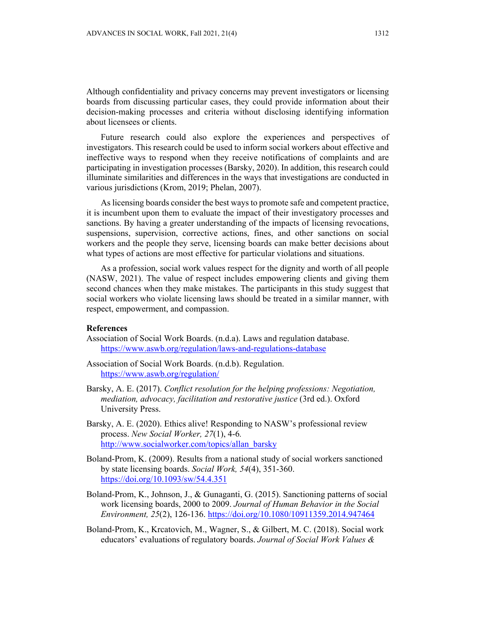Although confidentiality and privacy concerns may prevent investigators or licensing boards from discussing particular cases, they could provide information about their decision-making processes and criteria without disclosing identifying information about licensees or clients.

Future research could also explore the experiences and perspectives of investigators. This research could be used to inform social workers about effective and ineffective ways to respond when they receive notifications of complaints and are participating in investigation processes (Barsky, 2020). In addition, this research could illuminate similarities and differences in the ways that investigations are conducted in various jurisdictions (Krom, 2019; Phelan, 2007).

As licensing boards consider the best ways to promote safe and competent practice, it is incumbent upon them to evaluate the impact of their investigatory processes and sanctions. By having a greater understanding of the impacts of licensing revocations, suspensions, supervision, corrective actions, fines, and other sanctions on social workers and the people they serve, licensing boards can make better decisions about what types of actions are most effective for particular violations and situations.

As a profession, social work values respect for the dignity and worth of all people (NASW, 2021). The value of respect includes empowering clients and giving them second chances when they make mistakes. The participants in this study suggest that social workers who violate licensing laws should be treated in a similar manner, with respect, empowerment, and compassion.

### **References**

- Association of Social Work Boards. (n.d.a). Laws and regulation database. https://www.aswb.org/regulation/laws-and-regulations-database
- Association of Social Work Boards. (n.d.b). Regulation. https://www.aswb.org/regulation/
- Barsky, A. E. (2017). *Conflict resolution for the helping professions: Negotiation, mediation, advocacy, facilitation and restorative justice* (3rd ed.). Oxford University Press.
- Barsky, A. E. (2020). Ethics alive! Responding to NASW's professional review process. *New Social Worker, 27*(1), 4-6*.*  http://www.socialworker.com/topics/allan\_barsky
- Boland-Prom, K. (2009). Results from a national study of social workers sanctioned by state licensing boards. *Social Work, 54*(4), 351-360. https://doi.org/10.1093/sw/54.4.351
- Boland-Prom, K., Johnson, J., & Gunaganti, G. (2015). Sanctioning patterns of social work licensing boards, 2000 to 2009. *Journal of Human Behavior in the Social Environment, 25*(2), 126-136. https://doi.org/10.1080/10911359.2014.947464
- Boland-Prom, K., Krcatovich, M., Wagner, S., & Gilbert, M. C. (2018). Social work educators' evaluations of regulatory boards. *Journal of Social Work Values &*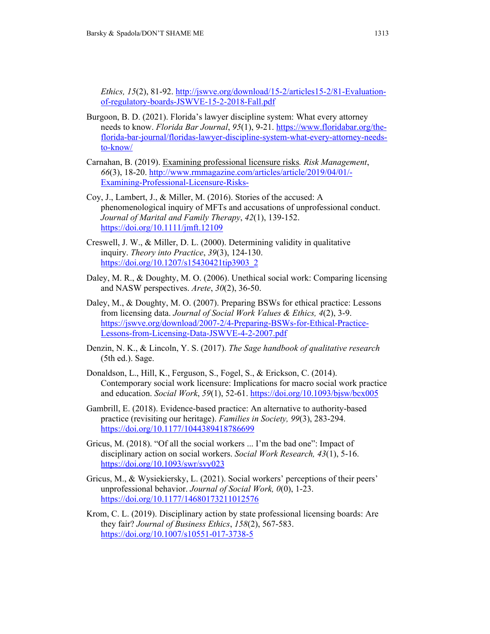*Ethics, 15*(2), 81-92. http://jswve.org/download/15-2/articles15-2/81-Evaluationof-regulatory-boards-JSWVE-15-2-2018-Fall.pdf

- Burgoon, B. D. (2021). Florida's lawyer discipline system: What every attorney needs to know. *Florida Bar Journal*, *95*(1), 9-21. https://www.floridabar.org/theflorida-bar-journal/floridas-lawyer-discipline-system-what-every-attorney-needsto-know/
- Carnahan, B. (2019). Examining professional licensure risks*. Risk Management*, *66*(3), 18-20. http://www.rmmagazine.com/articles/article/2019/04/01/- Examining-Professional-Licensure-Risks-
- Coy, J., Lambert, J., & Miller, M. (2016). Stories of the accused: A phenomenological inquiry of MFTs and accusations of unprofessional conduct. *Journal of Marital and Family Therapy*, *42*(1), 139-152. https://doi.org/10.1111/jmft.12109
- Creswell, J. W., & Miller, D. L. (2000). Determining validity in qualitative inquiry. *Theory into Practice*, *39*(3), 124-130. https://doi.org/10.1207/s15430421tip3903\_2
- Daley, M. R., & Doughty, M. O. (2006). Unethical social work: Comparing licensing and NASW perspectives. *Arete*, *30*(2), 36-50.
- Daley, M., & Doughty, M. O. (2007). Preparing BSWs for ethical practice: Lessons from licensing data. *Journal of Social Work Values & Ethics, 4*(2), 3-9. https://jswve.org/download/2007-2/4-Preparing-BSWs-for-Ethical-Practice-Lessons-from-Licensing-Data-JSWVE-4-2-2007.pdf
- Denzin, N. K., & Lincoln, Y. S. (2017). *The Sage handbook of qualitative research* (5th ed.). Sage.
- Donaldson, L., Hill, K., Ferguson, S., Fogel, S., & Erickson, C. (2014). Contemporary social work licensure: Implications for macro social work practice and education. *Social Work*, *59*(1), 52-61. https://doi.org/10.1093/bjsw/bcx005
- Gambrill, E. (2018). Evidence-based practice: An alternative to authority-based practice (revisiting our heritage). *Families in Society, 99*(3), 283-294. https://doi.org/10.1177/1044389418786699
- Gricus, M. (2018). "Of all the social workers ... I'm the bad one": Impact of disciplinary action on social workers. *Social Work Research, 43*(1), 5-16. https://doi.org/10.1093/swr/svy023
- Gricus, M., & Wysiekiersky, L. (2021). Social workers' perceptions of their peers' unprofessional behavior. *Journal of Social Work, 0*(0), 1-23. https://doi.org/10.1177/14680173211012576
- Krom, C. L. (2019). Disciplinary action by state professional licensing boards: Are they fair? *Journal of Business Ethics*, *158*(2), 567-583. https://doi.org/10.1007/s10551-017-3738-5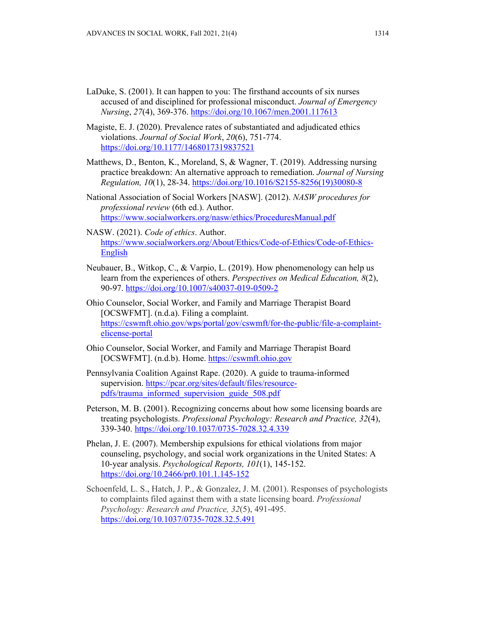- LaDuke, S. (2001). It can happen to you: The firsthand accounts of six nurses accused of and disciplined for professional misconduct. *Journal of Emergency Nursing*, *27*(4), 369-376. https://doi.org/10.1067/men.2001.117613
- Magiste, E. J. (2020). Prevalence rates of substantiated and adjudicated ethics violations. *Journal of Social Work*, *20*(6), 751-774. https://doi.org/10.1177/1468017319837521
- Matthews, D., Benton, K., Moreland, S, & Wagner, T. (2019). Addressing nursing practice breakdown: An alternative approach to remediation. *Journal of Nursing Regulation, 10*(1), 28-34. https://doi.org/10.1016/S2155-8256(19)30080-8
- National Association of Social Workers [NASW]. (2012). *NASW procedures for professional review* (6th ed.). Author. https://www.socialworkers.org/nasw/ethics/ProceduresManual.pdf
- NASW. (2021). *Code of ethics*. Author. https://www.socialworkers.org/About/Ethics/Code-of-Ethics/Code-of-Ethics-English
- Neubauer, B., Witkop, C., & Varpio, L. (2019). How phenomenology can help us learn from the experiences of others. *Perspectives on Medical Education, 8*(2), 90-97. https://doi.org/10.1007/s40037-019-0509-2
- Ohio Counselor, Social Worker, and Family and Marriage Therapist Board [OCSWFMT]. (n.d.a). Filing a complaint. https://cswmft.ohio.gov/wps/portal/gov/cswmft/for-the-public/file-a-complaintelicense-portal
- Ohio Counselor, Social Worker, and Family and Marriage Therapist Board [OCSWFMT]. (n.d.b). Home. https://cswmft.ohio.gov
- Pennsylvania Coalition Against Rape. (2020). A guide to trauma-informed supervision. https://pcar.org/sites/default/files/resourcepdfs/trauma\_informed\_supervision\_guide\_508.pdf
- Peterson, M. B. (2001). Recognizing concerns about how some licensing boards are treating psychologists. *Professional Psychology: Research and Practice, 32*(4), 339-340. https://doi.org/10.1037/0735-7028.32.4.339
- Phelan, J. E. (2007). Membership expulsions for ethical violations from major counseling, psychology, and social work organizations in the United States: A 10-year analysis. *Psychological Reports, 101*(1), 145-152. https://doi.org/10.2466/pr0.101.1.145-152
- Schoenfeld, L. S., Hatch, J. P., & Gonzalez, J. M. (2001). Responses of psychologists to complaints filed against them with a state licensing board. *Professional Psychology: Research and Practice, 32*(5), 491-495. https://doi.org/10.1037/0735-7028.32.5.491